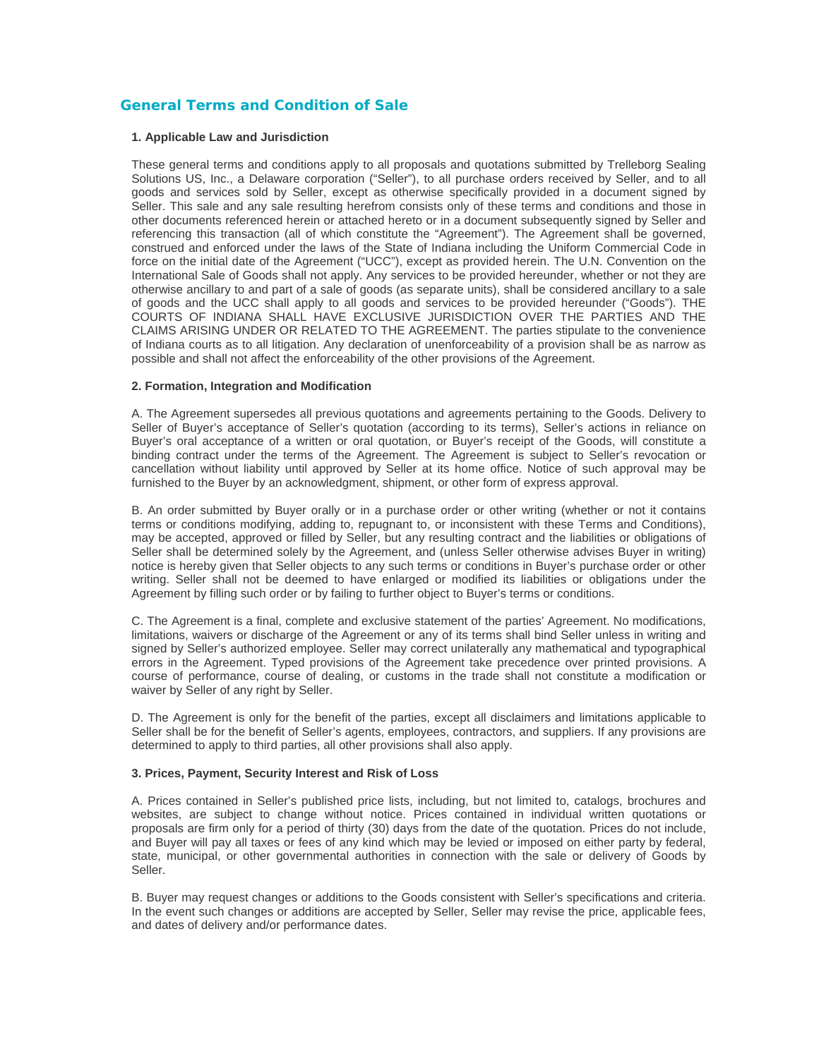# **General Terms and Condition of Sale**

#### **1. Applicable Law and Jurisdiction**

These general terms and conditions apply to all proposals and quotations submitted by Trelleborg Sealing Solutions US, Inc., a Delaware corporation ("Seller"), to all purchase orders received by Seller, and to all goods and services sold by Seller, except as otherwise specifically provided in a document signed by Seller. This sale and any sale resulting herefrom consists only of these terms and conditions and those in other documents referenced herein or attached hereto or in a document subsequently signed by Seller and referencing this transaction (all of which constitute the "Agreement"). The Agreement shall be governed, construed and enforced under the laws of the State of Indiana including the Uniform Commercial Code in force on the initial date of the Agreement ("UCC"), except as provided herein. The U.N. Convention on the International Sale of Goods shall not apply. Any services to be provided hereunder, whether or not they are otherwise ancillary to and part of a sale of goods (as separate units), shall be considered ancillary to a sale of goods and the UCC shall apply to all goods and services to be provided hereunder ("Goods"). THE COURTS OF INDIANA SHALL HAVE EXCLUSIVE JURISDICTION OVER THE PARTIES AND THE CLAIMS ARISING UNDER OR RELATED TO THE AGREEMENT. The parties stipulate to the convenience of Indiana courts as to all litigation. Any declaration of unenforceability of a provision shall be as narrow as possible and shall not affect the enforceability of the other provisions of the Agreement.

## **2. Formation, Integration and Modification**

A. The Agreement supersedes all previous quotations and agreements pertaining to the Goods. Delivery to Seller of Buyer's acceptance of Seller's quotation (according to its terms), Seller's actions in reliance on Buyer's oral acceptance of a written or oral quotation, or Buyer's receipt of the Goods, will constitute a binding contract under the terms of the Agreement. The Agreement is subject to Seller's revocation or cancellation without liability until approved by Seller at its home office. Notice of such approval may be furnished to the Buyer by an acknowledgment, shipment, or other form of express approval.

B. An order submitted by Buyer orally or in a purchase order or other writing (whether or not it contains terms or conditions modifying, adding to, repugnant to, or inconsistent with these Terms and Conditions), may be accepted, approved or filled by Seller, but any resulting contract and the liabilities or obligations of Seller shall be determined solely by the Agreement, and (unless Seller otherwise advises Buyer in writing) notice is hereby given that Seller objects to any such terms or conditions in Buyer's purchase order or other writing. Seller shall not be deemed to have enlarged or modified its liabilities or obligations under the Agreement by filling such order or by failing to further object to Buyer's terms or conditions.

C. The Agreement is a final, complete and exclusive statement of the parties' Agreement. No modifications, limitations, waivers or discharge of the Agreement or any of its terms shall bind Seller unless in writing and signed by Seller's authorized employee. Seller may correct unilaterally any mathematical and typographical errors in the Agreement. Typed provisions of the Agreement take precedence over printed provisions. A course of performance, course of dealing, or customs in the trade shall not constitute a modification or waiver by Seller of any right by Seller.

D. The Agreement is only for the benefit of the parties, except all disclaimers and limitations applicable to Seller shall be for the benefit of Seller's agents, employees, contractors, and suppliers. If any provisions are determined to apply to third parties, all other provisions shall also apply.

#### **3. Prices, Payment, Security Interest and Risk of Loss**

A. Prices contained in Seller's published price lists, including, but not limited to, catalogs, brochures and websites, are subject to change without notice. Prices contained in individual written quotations or proposals are firm only for a period of thirty (30) days from the date of the quotation. Prices do not include, and Buyer will pay all taxes or fees of any kind which may be levied or imposed on either party by federal, state, municipal, or other governmental authorities in connection with the sale or delivery of Goods by Seller.

In the event such changes or additions are accepted by Seller, Seller may revise the price, applicable fees, and dates of delivery and/or performance dates. B. Buyer may request changes or additions to the Goods consistent with Seller's specifications and criteria.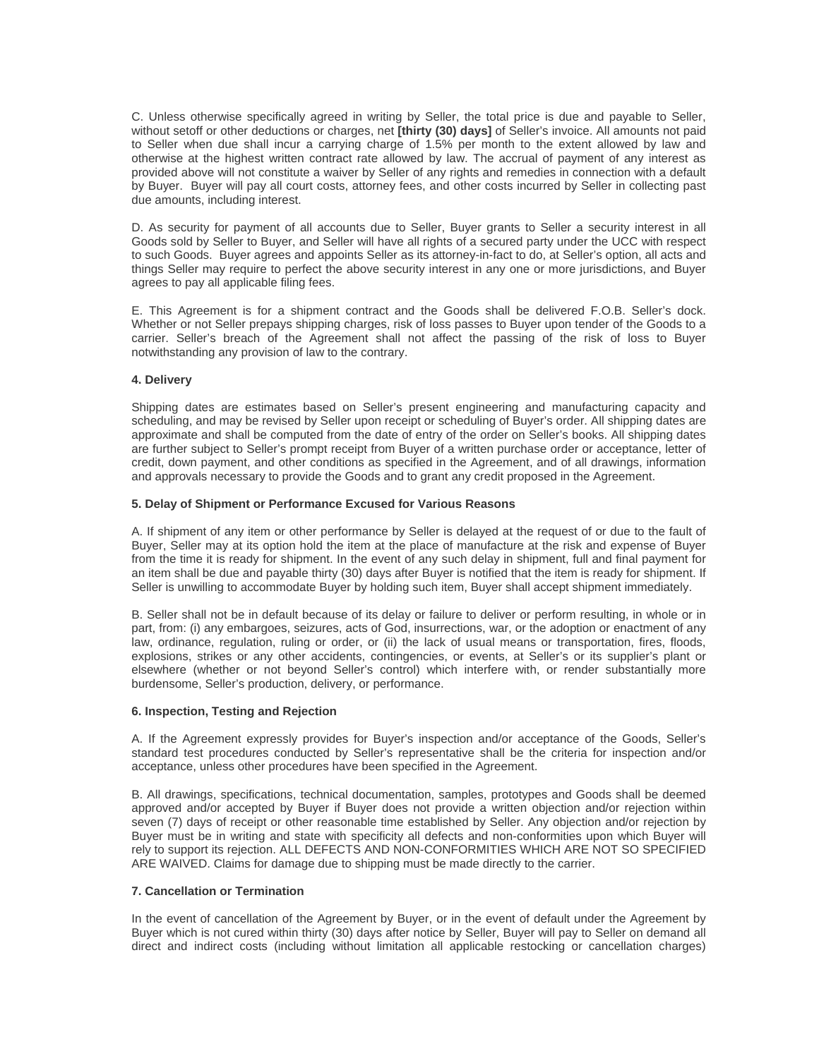C. Unless otherwise specifically agreed in writing by Seller, the total price is due and payable to Seller, without setoff or other deductions or charges, net **[thirty (30) days]** of Seller's invoice. All amounts not paid to Seller when due shall incur a carrying charge of 1.5% per month to the extent allowed by law and otherwise at the highest written contract rate allowed by law. The accrual of payment of any interest as provided above will not constitute a waiver by Seller of any rights and remedies in connection with a default by Buyer. Buyer will pay all court costs, attorney fees, and other costs incurred by Seller in collecting past due amounts, including interest.

things Seller may require to perfect the above security interest in any one or more jurisdictions, and Buyer D. As security for payment of all accounts due to Seller, Buyer grants to Seller a security interest in all Goods sold by Seller to Buyer, and Seller will have all rights of a secured party under the UCC with respect to such Goods. Buyer agrees and appoints Seller as its attorney-in-fact to do, at Seller's option, all acts and agrees to pay all applicable filing fees.

carrier. Seller's breach of the Agreement shall not affect the passing of the risk of loss to Buyer E. This Agreement is for a shipment contract and the Goods shall be delivered F.O.B. Seller's dock. Whether or not Seller prepays shipping charges, risk of loss passes to Buyer upon tender of the Goods to a notwithstanding any provision of law to the contrary.

## **4. Delivery**

Shipping dates are estimates based on Seller's present engineering and manufacturing capacity and scheduling, and may be revised by Seller upon receipt or scheduling of Buyer's order. All shipping dates are approximate and shall be computed from the date of entry of the order on Seller's books. All shipping dates are further subject to Seller's prompt receipt from Buyer of a written purchase order or acceptance, letter of credit, down payment, and other conditions as specified in the Agreement, and of all drawings, information and approvals necessary to provide the Goods and to grant any credit proposed in the Agreement.

## **. Delay of Shipment or Performance Excused for Various Reasons 5**

A. If shipment of any item or other performance by Seller is delayed at the request of or due to the fault of Buyer, Seller may at its option hold the item at the place of manufacture at the risk and expense of Buyer from the time it is ready for shipment. In the event of any such delay in shipment, full and final payment for an item shall be due and payable thirty (30) days after Buyer is notified that the item is ready for shipment. If Seller is unwilling to accommodate Buyer by holding such item, Buyer shall accept shipment immediately.

B. Seller shall not be in default because of its delay or failure to deliver or perform resulting, in whole or in part, from: (i) any embargoes, seizures, acts of God, insurrections, war, or the adoption or enactment of any law, ordinance, regulation, ruling or order, or (ii) the lack of usual means or transportation, fires, floods, explosions, strikes or any other accidents, contingencies, or events, at Seller's or its supplier's plant or elsewhere (whether or not beyond Seller's control) which interfere with, or render substantially more burdensome, Seller's production, delivery, or performance.

#### **. Inspection, Testing and Rejection 6**

A. If the Agreement expressly provides for Buyer's inspection and/or acceptance of the Goods, Seller's standard test procedures conducted by Seller's representative shall be the criteria for inspection and/or acceptance, unless other procedures have been specified in the Agreement.

rely to support its rejection. ALL DEFECTS AND NON-CONFORMITIES WHICH ARE NOT SO SPECIFIED B. All drawings, specifications, technical documentation, samples, prototypes and Goods shall be deemed approved and/or accepted by Buyer if Buyer does not provide a written objection and/or rejection within seven (7) days of receipt or other reasonable time established by Seller. Any objection and/or rejection by Buyer must be in writing and state with specificity all defects and non-conformities upon which Buyer will ARE WAIVED. Claims for damage due to shipping must be made directly to the carrier.

#### **7. Cancellation or Termination**

In the event of cancellation of the Agreement by Buyer, or in the event of default under the Agreement by Buyer which is not cured within thirty (30) days after notice by Seller, Buyer will pay to Seller on demand all direct and indirect costs (including without limitation all applicable restocking or cancellation charges)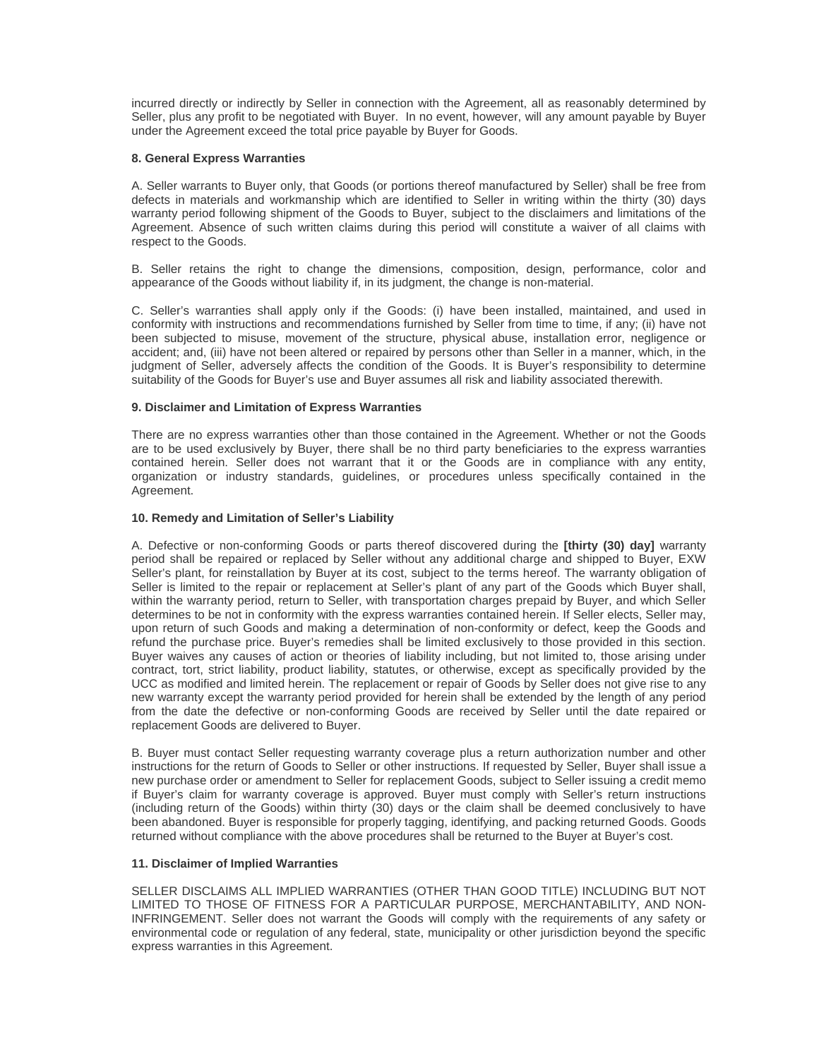incurred directly or indirectly by Seller in connection with the Agreement, all as reasonably determined by Seller, plus any profit to be negotiated with Buyer. In no event, however, will any amount payable by Buyer under the Agreement exceed the total price payable by Buyer for Goods.

## **8. General Express Warranties**

A. Seller warrants to Buyer only, that Goods (or portions thereof manufactured by Seller) shall be free from defects in materials and workmanship which are identified to Seller in writing within the thirty (30) days warranty period following shipment of the Goods to Buyer, subject to the disclaimers and limitations of the Agreement. Absence of such written claims during this period will constitute a waiver of all claims with respect to the Goods.

B. Seller retains the right to change the dimensions, composition, design, performance, color and appearance of the Goods without liability if, in its judgment, the change is non-material.

C. Seller's warranties shall apply only if the Goods: (i) have been installed, maintained, and used in conformity with instructions and recommendations furnished by Seller from time to time, if any; (ii) have not been subjected to misuse, movement of the structure, physical abuse, installation error, negligence or accident; and, (iii) have not been altered or repaired by persons other than Seller in a manner, which, in the judgment of Seller, adversely affects the condition of the Goods. It is Buyer's responsibility to determine suitability of the Goods for Buyer's use and Buyer assumes all risk and liability associated therewith.

## **. Disclaimer and Limitation of Express Warranties 9**

contained herein. Seller does not warrant that it or the Goods are in compliance with any entity, organization or industry standards, guidelines, or procedures unless specifically contained in the There are no express warranties other than those contained in the Agreement. Whether or not the Goods are to be used exclusively by Buyer, there shall be no third party beneficiaries to the express warranties Agreement.

## **10. Remedy and Limitation of Seller's Liability**

A. Defective or non-conforming Goods or parts thereof discovered during the **[thirty (30) day]** warranty period shall be repaired or replaced by Seller without any additional charge and shipped to Buyer, EXW Seller's plant, for reinstallation by Buyer at its cost, subject to the terms hereof. The warranty obligation of Seller is limited to the repair or replacement at Seller's plant of any part of the Goods which Buyer shall, within the warranty period, return to Seller, with transportation charges prepaid by Buyer, and which Seller determines to be not in conformity with the express warranties contained herein. If Seller elects, Seller may, upon return of such Goods and making a determination of non-conformity or defect, keep the Goods and refund the purchase price. Buyer's remedies shall be limited exclusively to those provided in this section. Buyer waives any causes of action or theories of liability including, but not limited to, those arising under contract, tort, strict liability, product liability, statutes, or otherwise, except as specifically provided by the UCC as modified and limited herein. The replacement or repair of Goods by Seller does not give rise to any new warranty except the warranty period provided for herein shall be extended by the length of any period from the date the defective or non-conforming Goods are received by Seller until the date repaired or replacement Goods are delivered to Buyer.

B. Buyer must contact Seller requesting warranty coverage plus a return authorization number and other instructions for the return of Goods to Seller or other instructions. If requested by Seller, Buyer shall issue a new purchase order or amendment to Seller for replacement Goods, subject to Seller issuing a credit memo if Buyer's claim for warranty coverage is approved. Buyer must comply with Seller's return instructions (including return of the Goods) within thirty (30) days or the claim shall be deemed conclusively to have been abandoned. Buyer is responsible for properly tagging, identifying, and packing returned Goods. Goods returned without compliance with the above procedures shall be returned to the Buyer at Buyer's cost.

# **11. Disclaimer of Implied Warranties**

INFRINGEMENT. Seller does not warrant the Goods will comply with the requirements of any safety or SELLER DISCLAIMS ALL IMPLIED WARRANTIES (OTHER THAN GOOD TITLE) INCLUDING BUT NOT LIMITED TO THOSE OF FITNESS FOR A PARTICULAR PURPOSE, MERCHANTABILITY, AND NONenvironmental code or regulation of any federal, state, municipality or other jurisdiction beyond the specific xpress warranties in this Agreement. e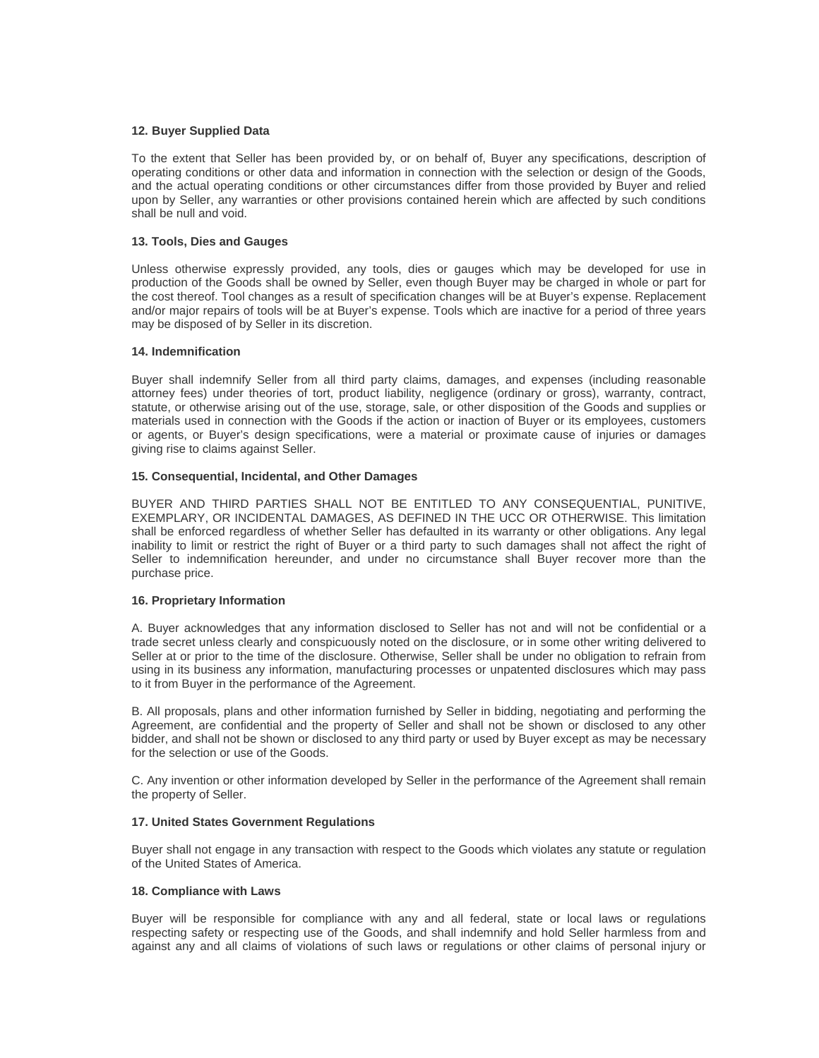## **12. Buyer Supplied Data**

To the extent that Seller has been provided by, or on behalf of, Buyer any specifications, description of operating conditions or other data and information in connection with the selection or design of the Goods, and the actual operating conditions or other circumstances differ from those provided by Buyer and relied upon by Seller, any warranties or other provisions contained herein which are affected by such conditions shall be null and void.

# **13. Tools, Dies and Gauges**

Unless otherwise expressly provided, any tools, dies or gauges which may be developed for use in production of the Goods shall be owned by Seller, even though Buyer may be charged in whole or part for the cost thereof. Tool changes as a result of specification changes will be at Buyer's expense. Replacement and/or major repairs of tools will be at Buyer's expense. Tools which are inactive for a period of three years may be disposed of by Seller in its discretion.

# **14. Indemnification**

Buyer shall indemnify Seller from all third party claims, damages, and expenses (including reasonable attorney fees) under theories of tort, product liability, negligence (ordinary or gross), warranty, contract, statute, or otherwise arising out of the use, storage, sale, or other disposition of the Goods and supplies or materials used in connection with the Goods if the action or inaction of Buyer or its employees, customers or agents, or Buyer's design specifications, were a material or proximate cause of injuries or damages giving rise to claims against Seller.

## **15. Consequential, Incidental, and Other Damages**

inability to limit or restrict the right of Buyer or a third party to such damages shall not affect the right of BUYER AND THIRD PARTIES SHALL NOT BE ENTITLED TO ANY CONSEQUENTIAL, PUNITIVE, EXEMPLARY, OR INCIDENTAL DAMAGES, AS DEFINED IN THE UCC OR OTHERWISE. This limitation shall be enforced regardless of whether Seller has defaulted in its warranty or other obligations. Any legal Seller to indemnification hereunder, and under no circumstance shall Buyer recover more than the purchase price.

# **16. Proprietary Information**

A. Buyer acknowledges that any information disclosed to Seller has not and will not be confidential or a trade secret unless clearly and conspicuously noted on the disclosure, or in some other writing delivered to Seller at or prior to the time of the disclosure. Otherwise, Seller shall be under no obligation to refrain from using in its business any information, manufacturing processes or unpatented disclosures which may pass to it from Buyer in the performance of the Agreement.

B. All proposals, plans and other information furnished by Seller in bidding, negotiating and performing the Agreement, are confidential and the property of Seller and shall not be shown or disclosed to any other bidder, and shall not be shown or disclosed to any third party or used by Buyer except as may be necessary for the selection or use of the Goods.

. Any invention or other information developed by Seller in the performance of the Agreement shall remain C the property of Seller.

# **17. United States Government Regulations**

Buyer shall not engage in any transaction with respect to the Goods which violates any statute or regulation of the United States of America.

#### **18. Compliance with Laws**

against any and all claims of violations of such laws or regulations or other claims of personal injury or Buyer will be responsible for compliance with any and all federal, state or local laws or regulations respecting safety or respecting use of the Goods, and shall indemnify and hold Seller harmless from and